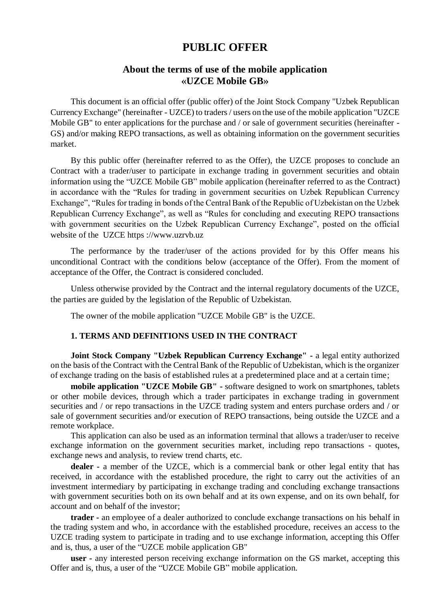# **PUBLIC OFFER**

## **About the terms of use of the mobile application «UZCE Mobile GB»**

This document is an official offer (public offer) of the Joint Stock Company "Uzbek Republican Currency Exchange" (hereinafter - UZCE) to traders / users on the use of the mobile application "UZCE Mobile GB" to enter applications for the purchase and / or sale of government securities (hereinafter -GS) and/or making REPO transactions, as well as obtaining information on the government securities market.

By this public offer (hereinafter referred to as the Offer), the UZCE proposes to conclude an Contract with a trader/user to participate in exchange trading in government securities and obtain information using the "UZCE Mobile GB" mobile application (hereinafter referred to as the Contract) in accordance with the "Rules for trading in government securities on Uzbek Republican Currency Exchange", "Rules for trading in bonds of the Central Bank of the Republic of Uzbekistan on the Uzbek Republican Currency Exchange", as well as "Rules for concluding and executing REPO transactions with government securities on the Uzbek Republican Currency Exchange", posted on the official website of the UZCE https ://www.uzrvb.uz

The performance by the trader/user of the actions provided for by this Offer means his unconditional Contract with the conditions below (acceptance of the Offer). From the moment of acceptance of the Offer, the Contract is considered concluded.

Unless otherwise provided by the Contract and the internal regulatory documents of the UZCE, the parties are guided by the legislation of the Republic of Uzbekistan.

The owner of the mobile application "UZCE Mobile GB" is the UZCE.

## **1. TERMS AND DEFINITIONS USED IN THE CONTRACT**

**Joint Stock Company "Uzbek Republican Currency Exchange" -** a legal entity authorized on the basis of the Contract with the Central Bank of the Republic of Uzbekistan, which is the organizer of exchange trading on the basis of established rules at a predetermined place and at a certain time;

**mobile application "UZCE Mobile GB" -** software designed to work on smartphones, tablets or other mobile devices, through which a trader participates in exchange trading in government securities and / or repo transactions in the UZCE trading system and enters purchase orders and / or sale of government securities and/or execution of REPO transactions, being outside the UZCE and a remote workplace.

This application can also be used as an information terminal that allows a trader/user to receive exchange information on the government securities market, including repo transactions - quotes, exchange news and analysis, to review trend charts, etc.

**dealer -** a member of the UZCE, which is a commercial bank or other legal entity that has received, in accordance with the established procedure, the right to carry out the activities of an investment intermediary by participating in exchange trading and concluding exchange transactions with government securities both on its own behalf and at its own expense, and on its own behalf, for account and on behalf of the investor;

**trader -** an employee of a dealer authorized to conclude exchange transactions on his behalf in the trading system and who, in accordance with the established procedure, receives an access to the UZCE trading system to participate in trading and to use exchange information, accepting this Offer and is, thus, a user of the "UZCE mobile application GB"

**user -** any interested person receiving exchange information on the GS market, accepting this Offer and is, thus, a user of the "UZCE Mobile GB" mobile application.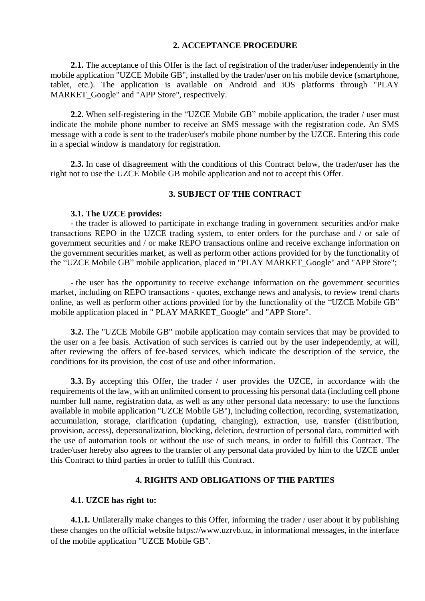## **2. ACCEPTANCE PROCEDURE**

**2.1.** The acceptance of this Offer is the fact of registration of the trader/user independently in the mobile application "UZCE Mobile GB", installed by the trader/user on his mobile device (smartphone, tablet, etc.). The application is available on Android and iOS platforms through "PLAY MARKET\_Google" and "APP Store", respectively.

**2.2.** When self-registering in the "UZCE Mobile GB" mobile application, the trader / user must indicate the mobile phone number to receive an SMS message with the registration code. An SMS message with a code is sent to the trader/user's mobile phone number by the UZCE. Entering this code in a special window is mandatory for registration.

**2.3.** In case of disagreement with the conditions of this Contract below, the trader/user has the right not to use the UZCE Mobile GB mobile application and not to accept this Offer.

## **3. SUBJECT OF THE CONTRACT**

#### **3.1. The UZCE provides:**

- the trader is allowed to participate in exchange trading in government securities and/or make transactions REPO in the UZCE trading system, to enter orders for the purchase and / or sale of government securities and / or make REPO transactions online and receive exchange information on the government securities market, as well as perform other actions provided for by the functionality of the "UZCE Mobile GB" mobile application, placed in "PLAY MARKET\_Google" and "APP Store";

- the user has the opportunity to receive exchange information on the government securities market, including on REPO transactions - quotes, exchange news and analysis, to review trend charts online, as well as perform other actions provided for by the functionality of the "UZCE Mobile GB" mobile application placed in " PLAY MARKET\_Google" and "APP Store".

**3.2.** The "UZCE Mobile GB" mobile application may contain services that may be provided to the user on a fee basis. Activation of such services is carried out by the user independently, at will, after reviewing the offers of fee-based services, which indicate the description of the service, the conditions for its provision, the cost of use and other information.

**3.3.** By accepting this Offer, the trader / user provides the UZCE, in accordance with the requirements of the law, with an unlimited consent to processing his personal data (including cell phone number full name, registration data, as well as any other personal data necessary: to use the functions available in mobile application "UZCE Mobile GB"), including collection, recording, systematization, accumulation, storage, clarification (updating, changing), extraction, use, transfer (distribution, provision, access), depersonalization, blocking, deletion, destruction of personal data, committed with the use of automation tools or without the use of such means, in order to fulfill this Contract. The trader/user hereby also agrees to the transfer of any personal data provided by him to the UZCE under this Contract to third parties in order to fulfill this Contract.

## **4. RIGHTS AND OBLIGATIONS OF THE PARTIES**

#### **4.1. UZCE has right to:**

**4.1.1.** Unilaterally make changes to this Offer, informing the trader / user about it by publishing these changes on the official website https://www.uzrvb.uz, in informational messages, in the interface of the mobile application "UZCE Mobile GB".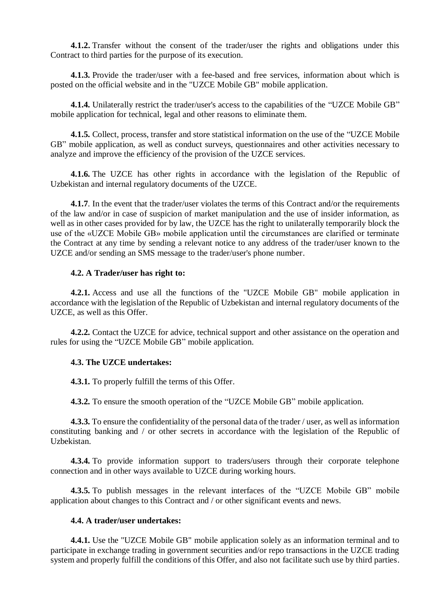**4.1.2.** Transfer without the consent of the trader/user the rights and obligations under this Contract to third parties for the purpose of its execution.

**4.1.3.** Provide the trader/user with a fee-based and free services, information about which is posted on the official website and in the "UZCE Mobile GB" mobile application.

**4.1.4.** Unilaterally restrict the trader/user's access to the capabilities of the "UZCE Mobile GB" mobile application for technical, legal and other reasons to eliminate them.

**4.1.5.** Collect, process, transfer and store statistical information on the use of the "UZCE Mobile GB" mobile application, as well as conduct surveys, questionnaires and other activities necessary to analyze and improve the efficiency of the provision of the UZCE services.

**4.1.6.** The UZCE has other rights in accordance with the legislation of the Republic of Uzbekistan and internal regulatory documents of the UZCE.

**4.1.7**. In the event that the trader/user violates the terms of this Contract and/or the requirements of the law and/or in case of suspicion of market manipulation and the use of insider information, as well as in other cases provided for by law, the UZCE has the right to unilaterally temporarily block the use of the «UZCE Mobile GB» mobile application until the circumstances are clarified or terminate the Contract at any time by sending a relevant notice to any address of the trader/user known to the UZCE and/or sending an SMS message to the trader/user's phone number.

## **4.2. A Trader/user has right to:**

**4.2.1.** Access and use all the functions of the "UZCE Mobile GB" mobile application in accordance with the legislation of the Republic of Uzbekistan and internal regulatory documents of the UZCE, as well as this Offer.

**4.2.2.** Contact the UZCE for advice, technical support and other assistance on the operation and rules for using the "UZCE Mobile GB" mobile application.

#### **4.3. The UZCE undertakes:**

**4.3.1.** To properly fulfill the terms of this Offer.

**4.3.2.** To ensure the smooth operation of the "UZCE Mobile GB" mobile application.

**4.3.3.** To ensure the confidentiality of the personal data of the trader / user, as well as information constituting banking and / or other secrets in accordance with the legislation of the Republic of Uzbekistan.

**4.3.4.** To provide information support to traders/users through their corporate telephone connection and in other ways available to UZCE during working hours.

**4.3.5.** To publish messages in the relevant interfaces of the "UZCE Mobile GB" mobile application about changes to this Contract and / or other significant events and news.

## **4.4. A trader/user undertakes:**

**4.4.1.** Use the "UZCE Mobile GB" mobile application solely as an information terminal and to participate in exchange trading in government securities and/or repo transactions in the UZCE trading system and properly fulfill the conditions of this Offer, and also not facilitate such use by third parties.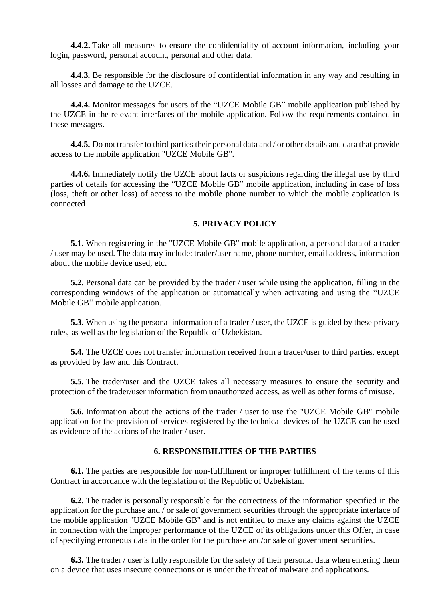**4.4.2.** Take all measures to ensure the confidentiality of account information, including your login, password, personal account, personal and other data.

**4.4.3.** Be responsible for the disclosure of confidential information in any way and resulting in all losses and damage to the UZCE.

**4.4.4.** Monitor messages for users of the "UZCE Mobile GB" mobile application published by the UZCE in the relevant interfaces of the mobile application. Follow the requirements contained in these messages.

**4.4.5.** Do not transfer to third parties their personal data and / or other details and data that provide access to the mobile application "UZCE Mobile GB".

**4.4.6.** Immediately notify the UZCE about facts or suspicions regarding the illegal use by third parties of details for accessing the "UZCE Mobile GB" mobile application, including in case of loss (loss, theft or other loss) of access to the mobile phone number to which the mobile application is connected

## **5. PRIVACY POLICY**

**5.1.** When registering in the "UZCE Mobile GB" mobile application, a personal data of a trader / user may be used. The data may include: trader/user name, phone number, email address, information about the mobile device used, etc.

**5.2.** Personal data can be provided by the trader / user while using the application, filling in the corresponding windows of the application or automatically when activating and using the "UZCE Mobile GB" mobile application.

**5.3.** When using the personal information of a trader / user, the UZCE is guided by these privacy rules, as well as the legislation of the Republic of Uzbekistan.

**5.4.** The UZCE does not transfer information received from a trader/user to third parties, except as provided by law and this Contract.

**5.5.** The trader/user and the UZCE takes all necessary measures to ensure the security and protection of the trader/user information from unauthorized access, as well as other forms of misuse.

**5.6.** Information about the actions of the trader / user to use the "UZCE Mobile GB" mobile application for the provision of services registered by the technical devices of the UZCE can be used as evidence of the actions of the trader / user.

## **6. RESPONSIBILITIES OF THE PARTIES**

**6.1.** The parties are responsible for non-fulfillment or improper fulfillment of the terms of this Contract in accordance with the legislation of the Republic of Uzbekistan.

**6.2.** The trader is personally responsible for the correctness of the information specified in the application for the purchase and / or sale of government securities through the appropriate interface of the mobile application "UZCE Mobile GB" and is not entitled to make any claims against the UZCE in connection with the improper performance of the UZCE of its obligations under this Offer, in case of specifying erroneous data in the order for the purchase and/or sale of government securities.

**6.3.** The trader / user is fully responsible for the safety of their personal data when entering them on a device that uses insecure connections or is under the threat of malware and applications.